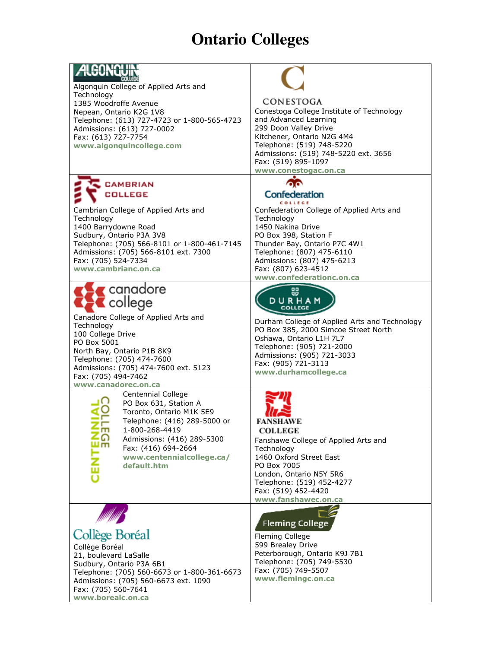## **Ontario Colleges**

| Algonquin College of Applied Arts and<br>Technology<br>1385 Woodroffe Avenue<br>Nepean, Ontario K2G 1V8<br>Telephone: (613) 727-4723 or 1-800-565-4723<br>Admissions: (613) 727-0002<br>Fax: (613) 727-7754<br>www.algonquincollege.com                                             | CONESTOGA<br>Conestoga College Institute of Technology<br>and Advanced Learning<br>299 Doon Valley Drive<br>Kitchener, Ontario N2G 4M4<br>Telephone: (519) 748-5220<br>Admissions: (519) 748-5220 ext. 3656<br>Fax: (519) 895-1097<br>www.conestogac.on.ca                      |
|-------------------------------------------------------------------------------------------------------------------------------------------------------------------------------------------------------------------------------------------------------------------------------------|---------------------------------------------------------------------------------------------------------------------------------------------------------------------------------------------------------------------------------------------------------------------------------|
| <b>CAMBRIAN</b><br>COLLEGE<br>Cambrian College of Applied Arts and<br>Technology<br>1400 Barrydowne Road<br>Sudbury, Ontario P3A 3V8<br>Telephone: (705) 566-8101 or 1-800-461-7145<br>Admissions: (705) 566-8101 ext. 7300<br>Fax: (705) 524-7334<br>www.cambrianc.on.ca           | Confederation<br>COLLEGE<br>Confederation College of Applied Arts and<br>Technology<br>1450 Nakina Drive<br>PO Box 398, Station F<br>Thunder Bay, Ontario P7C 4W1<br>Telephone: (807) 475-6110<br>Admissions: (807) 475-6213<br>Fax: (807) 623-4512<br>www.confederationc.on.ca |
| $\sqrt{\frac{1}{2}}$ canadore<br>college<br>Canadore College of Applied Arts and<br>Technology<br>100 College Drive<br>PO Box 5001<br>North Bay, Ontario P1B 8K9<br>Telephone: (705) 474-7600<br>Admissions: (705) 474-7600 ext. 5123<br>Fax: (705) 494-7462<br>www.canadorec.on.ca | 鄂<br>DURHAM<br>Durham College of Applied Arts and Technology<br>PO Box 385, 2000 Simcoe Street North<br>Oshawa, Ontario L1H 7L7<br>Telephone: (905) 721-2000<br>Admissions: (905) 721-3033<br>Fax: (905) 721-3113<br>www.durhamcollege.ca                                       |
| <b>Centennial College</b><br>PO Box 631, Station A<br>Toronto, Ontario M1K 5E9<br>Telephone: (416) 289-5000 or<br>1-800-268-4419<br><br><u>.ດ</u><br>Admissions: (416) 289-5300<br>Im<br>Fax: (416) 694-2664<br>www.centennialcollege.ca/<br>default.htm                            | <b>COLLEGE</b><br>Fanshawe College of Applied Arts and<br>Technology<br>1460 Oxford Street East<br>PO Box 7005<br>London, Ontario N5Y 5R6<br>Telephone: (519) 452-4277<br>Fax: (519) 452-4420<br>www.fanshawec.on.ca                                                            |
| Collège Boréal<br>Collège Boréal<br>21, boulevard LaSalle<br>Sudbury, Ontario P3A 6B1<br>Telephone: (705) 560-6673 or 1-800-361-6673<br>Admissions: (705) 560-6673 ext. 1090<br>Fax: (705) 560-7641<br>www.borealc.on.ca                                                            | <b>Fleming College</b><br>Fleming College<br>599 Brealey Drive<br>Peterborough, Ontario K9J 7B1<br>Telephone: (705) 749-5530<br>Fax: (705) 749-5507<br>www.flemingc.on.ca                                                                                                       |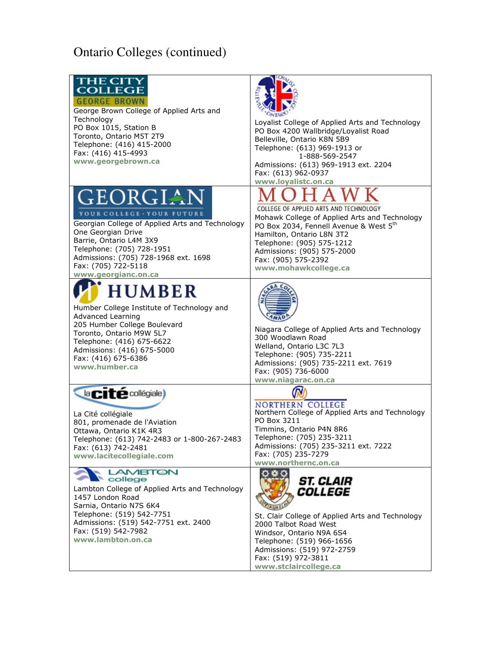## **Ontario Colleges (continued)**

| <b>THE CITY</b><br><b>COLLEGE</b><br><b>GEORGE BROWN</b><br>George Brown College of Applied Arts and<br>Technology<br>PO Box 1015, Station B<br>Toronto, Ontario M5T 2T9<br>Telephone: (416) 415-2000<br>Fax: (416) 415-4993<br>www.georgebrown.ca          | <b>ONTARY</b><br>Loyalist College of Applied Arts and Technology<br>PO Box 4200 Wallbridge/Loyalist Road<br>Belleville, Ontario K8N 5B9<br>Telephone: (613) 969-1913 or<br>1-888-569-2547<br>Admissions: (613) 969-1913 ext. 2204<br>Fax: (613) 962-0937                                                    |
|-------------------------------------------------------------------------------------------------------------------------------------------------------------------------------------------------------------------------------------------------------------|-------------------------------------------------------------------------------------------------------------------------------------------------------------------------------------------------------------------------------------------------------------------------------------------------------------|
| GEORGIAN<br>YOUR COLLEGE · YOUR FUTU<br>Georgian College of Applied Arts and Technology<br>One Georgian Drive<br>Barrie, Ontario L4M 3X9<br>Telephone: (705) 728-1951<br>Admissions: (705) 728-1968 ext. 1698<br>Fax: (705) 722-5118<br>www.georgianc.on.ca | www.loyalistc.on.ca<br>COLLEGE OF APPLIED ARTS AND TECHNOLOGY<br>Mohawk College of Applied Arts and Technology<br>PO Box 2034, Fennell Avenue & West 5 <sup>th</sup><br>Hamilton, Ontario L8N 3T2<br>Telephone: (905) 575-1212<br>Admissions: (905) 575-2000<br>Fax: (905) 575-2392<br>www.mohawkcollege.ca |
| <b>HUMBER</b><br>Humber College Institute of Technology and<br>Advanced Learning<br>205 Humber College Boulevard<br>Toronto, Ontario M9W 5L7<br>Telephone: (416) 675-6622<br>Admissions: (416) 675-5000<br>Fax: (416) 675-6386<br>www.humber.ca             | Niagara College of Applied Arts and Technology<br>300 Woodlawn Road<br>Welland, Ontario L3C 7L3<br>Telephone: (905) 735-2211<br>Admissions: (905) 735-2211 ext. 7619<br>Fax: (905) 736-6000<br>www.niagarac.on.ca                                                                                           |
| <b>Racité collégiale</b><br>La Cité collégiale<br>801, promenade de l'Aviation<br>Ottawa, Ontario K1K 4R3<br>Telephone: (613) 742-2483 or 1-800-267-2483<br>Fax: (613) 742-2481<br>www.lacitecollegiale.com                                                 | <b>NORTHERN COLLEGE</b><br>Northern College of Applied Arts and Technology<br>PO Box 3211<br>Timmins, Ontario P4N 8R6<br>Telephone: (705) 235-3211<br>Admissions: (705) 235-3211 ext. 7222<br>Fax: (705) 235-7279<br>www.northernc.on.ca                                                                    |
| <b>LAMBTON</b><br><b>College</b><br>Lambton College of Applied Arts and Technology<br>1457 London Road<br>Sarnia, Ontario N7S 6K4<br>Telephone: (519) 542-7751<br>Admissions: (519) 542-7751 ext. 2400<br>Fax: (519) 542-7982<br>www.lambton.on.ca          | <i><b>ST. CLAIR</b></i><br><i><b>COLLEGE</b></i><br>St. Clair College of Applied Arts and Technology<br>2000 Talbot Road West<br>Windsor, Ontario N9A 6S4<br>Telephone: (519) 966-1656<br>Admissions: (519) 972-2759<br>Fax: (519) 972-3811<br>www.stclaircollege.ca                                        |